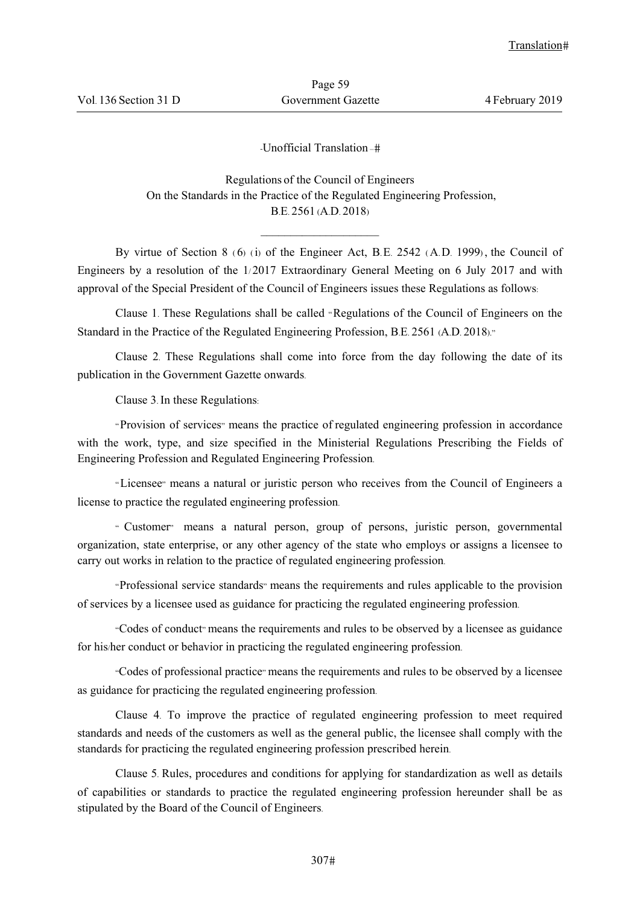-Unofficial Translation –

Regulations of the Council of Engineers On the Standards in the Practice of the Regulated Engineering Profession, B.E. 2561 (A.D. 2018)

 $\mathcal{L}_\text{max}$ 

By virtue of Section 8 (6) (i) of the Engineer Act, B.E. 2542 (A.D. 1999), the Council of Engineers by a resolution of the 1/2017 Extraordinary General Meeting on 6 July 2017 and with approval of the Special President of the Council of Engineers issues these Regulations as follows:

Clause 1. These Regulations shall be called "Regulations of the Council of Engineers on the Standard in the Practice of the Regulated Engineering Profession, B.E. 2561 (A.D. 2018)."

Clause 2. These Regulations shall come into force from the day following the date of its publication in the Government Gazette onwards.

Clause 3. In these Regulations:

"Provision of services" means the practice of regulated engineering profession in accordance with the work, type, and size specified in the Ministerial Regulations Prescribing the Fields of Engineering Profession and Regulated Engineering Profession.

"Licensee" means a natural or juristic person who receives from the Council of Engineers a license to practice the regulated engineering profession.

" Customer" means a natural person, group of persons, juristic person, governmental organization, state enterprise, or any other agency of the state who employs or assigns a licensee to carry out works in relation to the practice of regulated engineering profession.

"Professional service standards" means the requirements and rules applicable to the provision of services by a licensee used as guidance for practicing the regulated engineering profession.

"Codes of conduct" means the requirements and rules to be observed by a licensee as guidance for his/her conduct or behavior in practicing the regulated engineering profession.

"Codes of professional practice" means the requirements and rules to be observed by a licensee as guidance for practicing the regulated engineering profession.

Clause 4. To improve the practice of regulated engineering profession to meet required standards and needs of the customers as well as the general public, the licensee shall comply with the standards for practicing the regulated engineering profession prescribed herein.

Clause 5. Rules, procedures and conditions for applying for standardization as well as details of capabilities or standards to practice the regulated engineering profession hereunder shall be as stipulated by the Board of the Council of Engineers.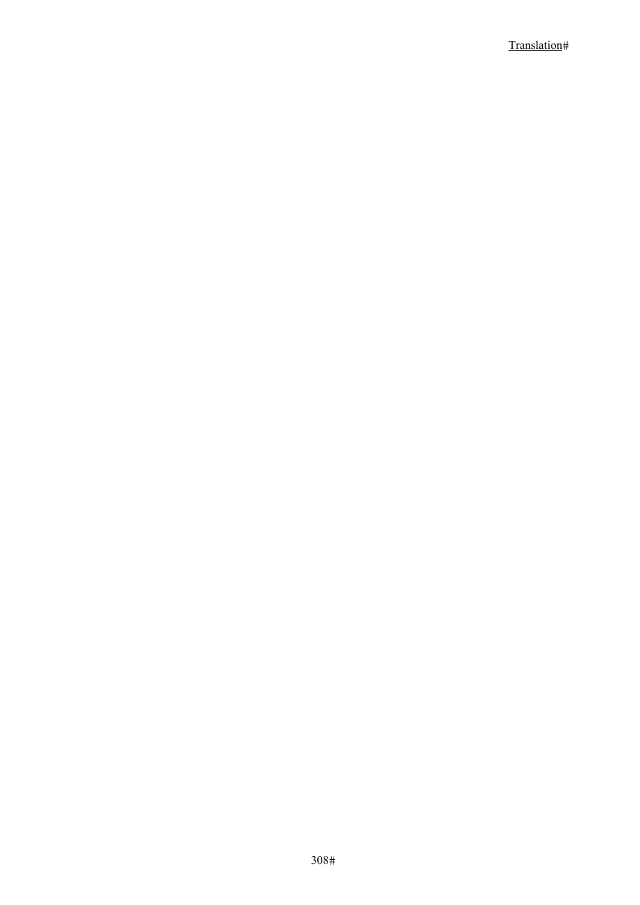# Translation#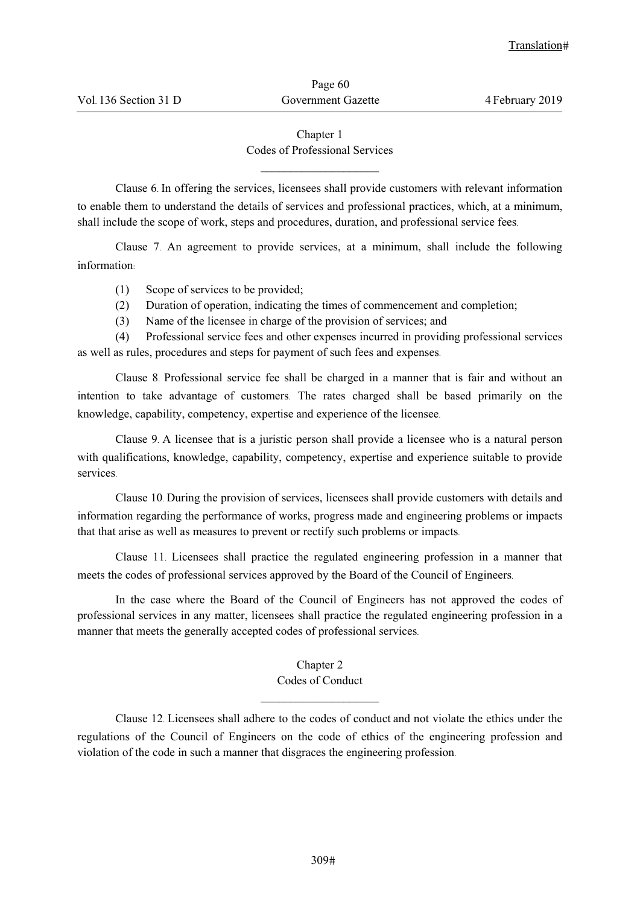## Chapter 1 Codes of Professional Services

Clause 6. In offering the services, licensees shall provide customers with relevant information to enable them to understand the details of services and professional practices, which, at a minimum, shall include the scope of work, steps and procedures, duration, and professional service fees.

Clause 7. An agreement to provide services, at a minimum, shall include the following information:

- (1) Scope of services to be provided;
- (2) Duration of operation, indicating the times of commencement and completion;
- (3) Name of the licensee in charge of the provision of services; and

(4) Professional service fees and other expenses incurred in providing professional services as well as rules, procedures and steps for payment of such fees and expenses.

Clause 8. Professional service fee shall be charged in a manner that is fair and without an intention to take advantage of customers. The rates charged shall be based primarily on the knowledge, capability, competency, expertise and experience of the licensee.

Clause 9. A licensee that is a juristic person shall provide a licensee who is a natural person with qualifications, knowledge, capability, competency, expertise and experience suitable to provide services.

Clause 10. During the provision of services, licensees shall provide customers with details and information regarding the performance of works, progress made and engineering problems or impacts that that arise as well as measures to prevent or rectify such problems or impacts.

Clause 11. Licensees shall practice the regulated engineering profession in a manner that meets the codes of professional services approved by the Board of the Council of Engineers.

In the case where the Board of the Council of Engineers has not approved the codes of professional services in any matter, licensees shall practice the regulated engineering profession in a manner that meets the generally accepted codes of professional services.

#### Chapter 2

### Codes of Conduct  $\frac{1}{2}$  ,  $\frac{1}{2}$  ,  $\frac{1}{2}$  ,  $\frac{1}{2}$  ,  $\frac{1}{2}$  ,  $\frac{1}{2}$  ,  $\frac{1}{2}$  ,  $\frac{1}{2}$  ,  $\frac{1}{2}$  ,  $\frac{1}{2}$

Clause 12. Licensees shall adhere to the codes of conduct and not violate the ethics under the regulations of the Council of Engineers on the code of ethics of the engineering profession and violation of the code in such a manner that disgraces the engineering profession.